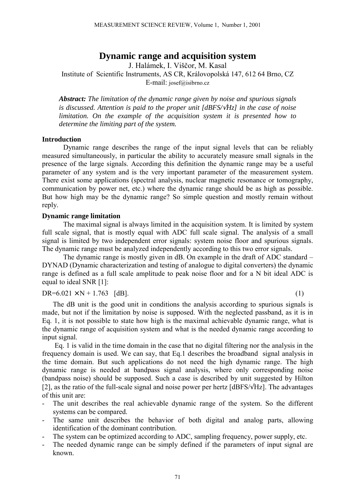# **Dynamic range and acquisition system**

J. Halámek, I. Viščor, M. Kasal Institute of Scientific Instruments, AS CR, Královopolská 147, 612 64 Brno, CZ E-mail: josef@isibrno.cz

*Abstract: The limitation of the dynamic range given by noise and spurious signals is discussed. Attention is paid to the proper unit [dBFS/*√*Hz] in the case of noise limitation. On the example of the acquisition system it is presented how to determine the limiting part of the system.*

#### **Introduction**

Dynamic range describes the range of the input signal levels that can be reliably measured simultaneously, in particular the ability to accurately measure small signals in the presence of the large signals. According this definition the dynamic range may be a useful parameter of any system and is the very important parameter of the measurement system. There exist some applications (spectral analysis, nuclear magnetic resonance or tomography, communication by power net, etc.) where the dynamic range should be as high as possible. But how high may be the dynamic range? So simple question and mostly remain without reply.

#### **Dynamic range limitation**

The maximal signal is always limited in the acquisition system. It is limited by system full scale signal, that is mostly equal with ADC full scale signal. The analysis of a small signal is limited by two independent error signals: system noise floor and spurious signals. The dynamic range must be analyzed independently according to this two error signals.

The dynamic range is mostly given in  $dB$ . On example in the draft of ADC standard  $-\frac{1}{2}$ DYNAD (Dynamic characterization and testing of analogue to digital converters) the dynamic range is defined as a full scale amplitude to peak noise floor and for a N bit ideal ADC is equal to ideal SNR [1]:

### $DR=6.021 \times N + 1.763$  [dB]. (1)

The dB unit is the good unit in conditions the analysis according to spurious signals is made, but not if the limitation by noise is supposed. With the neglected passband, as it is in Eq. 1, it is not possible to state how high is the maximal achievable dynamic range, what is the dynamic range of acquisition system and what is the needed dynamic range according to input signal.

 Eq. 1 is valid in the time domain in the case that no digital filtering nor the analysis in the frequency domain is used. We can say, that Eq.1 describes the broadband signal analysis in the time domain. But such applications do not need the high dynamic range. The high dynamic range is needed at bandpass signal analysis, where only corresponding noise (bandpass noise) should be supposed. Such a case is described by unit suggested by Hilton [2], as the ratio of the full-scale signal and noise power per hertz [dBFS/√Hz]. The advantages of this unit are:

- The unit describes the real achievable dynamic range of the system. So the different systems can be compared.
- The same unit describes the behavior of both digital and analog parts, allowing identification of the dominant contribution.
- The system can be optimized according to ADC, sampling frequency, power supply, etc.
- The needed dynamic range can be simply defined if the parameters of input signal are known.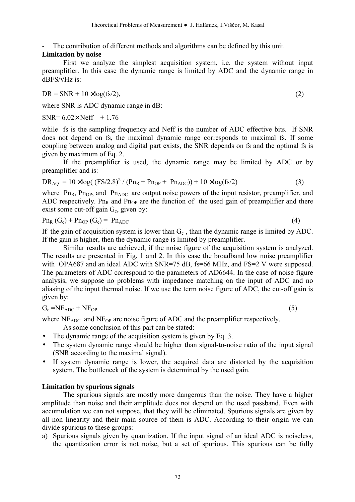The contribution of different methods and algorithms can be defined by this unit.

# **Limitation by noise**

First we analyze the simplest acquisition system, i.e. the system without input preamplifier. In this case the dynamic range is limited by ADC and the dynamic range in  $dBFS/\sqrt{Hz}$  is:

 $DR = SNR + 10 \times log(fs/2),$  (2)

where SNR is ADC dynamic range in dB:

SNR= $6.02 \times$  Neff  $+1.76$ 

while fs is the sampling frequency and Neff is the number of ADC effective bits. If SNR does not depend on fs, the maximal dynamic range corresponds to maximal fs. If some coupling between analog and digital part exists, the SNR depends on fs and the optimal fs is given by maximum of Eq. 2.

If the preamplifier is used, the dynamic range may be limited by ADC or by preamplifier and is:

$$
DR_{AQ} = 10 \times log((FS/2.8)^{2} / (Pn_{R} + Pn_{OP} + Pn_{ADC})) + 10 \times log(fs/2)
$$
\n(3)

where  $\text{Pn}_{\text{R}}$ ,  $\text{Pn}_{\text{OP}}$ , and  $\text{Pn}_{\text{ADC}}$  are output noise powers of the input resistor, preamplifier, and ADC respectively. Pn<sub>R</sub> and Pn<sub>OP</sub> are the function of the used gain of preamplifier and there exist some cut-off gain  $G<sub>c</sub>$ , given by:

$$
Pn_R(G_c) + Pn_{OP}(G_c) = Pn_{ADC}
$$
\n
$$
(4)
$$

If the gain of acquisition system is lower than  $G_c$ , than the dynamic range is limited by ADC. If the gain is higher, then the dynamic range is limited by preamplifier.

Similar results are achieved, if the noise figure of the acquisition system is analyzed. The results are presented in Fig. 1 and 2. In this case the broadband low noise preamplifier with OPA687 and an ideal ADC with SNR=75 dB, fs=66 MHz, and FS=2 V were supposed. The parameters of ADC correspond to the parameters of AD6644. In the case of noise figure analysis, we suppose no problems with impedance matching on the input of ADC and no aliasing of the input thermal noise. If we use the term noise figure of ADC, the cut-off gain is given by:

$$
G_c = NF_{ADC} + NF_{OP} \tag{5}
$$

where  $NF<sub>ADC</sub>$  and  $NF<sub>OP</sub>$  are noise figure of ADC and the preamplifier respectively.

As some conclusion of this part can be stated:

- The dynamic range of the acquisition system is given by Eq. 3.
- The system dynamic range should be higher than signal-to-noise ratio of the input signal (SNR according to the maximal signal).
- If system dynamic range is lower, the acquired data are distorted by the acquisition system. The bottleneck of the system is determined by the used gain.

## **Limitation by spurious signals**

The spurious signals are mostly more dangerous than the noise. They have a higher amplitude than noise and their amplitude does not depend on the used passband. Even with accumulation we can not suppose, that they will be eliminated. Spurious signals are given by all non linearity and their main source of them is ADC. According to their origin we can divide spurious to these groups:

a) Spurious signals given by quantization. If the input signal of an ideal ADC is noiseless, the quantization error is not noise, but a set of spurious. This spurious can be fully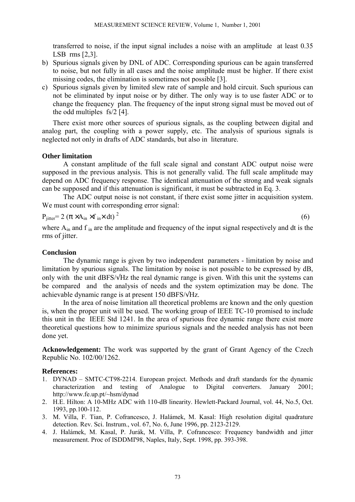transferred to noise, if the input signal includes a noise with an amplitude at least 0.35 LSB rms [2,3].

- b) Spurious signals given by DNL of ADC. Corresponding spurious can be again transferred to noise, but not fully in all cases and the noise amplitude must be higher. If there exist missing codes, the elimination is sometimes not possible [3].
- c) Spurious signals given by limited slew rate of sample and hold circuit. Such spurious can not be eliminated by input noise or by dither. The only way is to use faster ADC or to change the frequency plan. The frequency of the input strong signal must be moved out of the odd multiples fs/2 [4].

There exist more other sources of spurious signals, as the coupling between digital and analog part, the coupling with a power supply, etc. The analysis of spurious signals is neglected not only in drafts of ADC standards, but also in literature.

### **Other limitation**

A constant amplitude of the full scale signal and constant ADC output noise were supposed in the previous analysis. This is not generally valid. The full scale amplitude may depend on ADC frequency response. The identical attenuation of the strong and weak signals can be supposed and if this attenuation is significant, it must be subtracted in Eq. 3.

The ADC output noise is not constant, if there exist some jitter in acquisition system. We must count with corresponding error signal:

$$
P_{jitter} = 2 (\pi \times A_{in} \times f_{in} \times dt)^{2}
$$

(6)

where  $A_{in}$  and f<sub>in</sub> are the amplitude and frequency of the input signal respectively and dt is the rms of jitter.

### **Conclusion**

The dynamic range is given by two independent parameters - limitation by noise and limitation by spurious signals. The limitation by noise is not possible to be expressed by dB, only with the unit dBFS/√Hz the real dynamic range is given. With this unit the systems can be compared and the analysis of needs and the system optimization may be done. The achievable dynamic range is at present 150 dBFS/√Hz.

In the area of noise limitation all theoretical problems are known and the only question is, when the proper unit will be used. The working group of IEEE TC-10 promised to include this unit in the IEEE Std 1241. In the area of spurious free dynamic range there exist more theoretical questions how to minimize spurious signals and the needed analysis has not been done yet.

**Acknowledgement:** The work was supported by the grant of Grant Agency of the Czech Republic No. 102/00/1262.

### **References:**

- 1. DYNAD SMTC-CT98-2214. European project. Methods and draft standards for the dynamic characterization and testing of Analogue to Digital converters. January 2001; http://www.fe.up.pt/~hsm/dynad
- 2. H.E. Hilton: A 10-MHz ADC with 110-dB linearity. Hewlett-Packard Journal, vol. 44, No.5, Oct. 1993, pp.100-112.
- 3. M. Villa, F. Tian, P. Cofrancesco, J. Halámek, M. Kasal: High resolution digital quadrature detection. Rev. Sci. Instrum., vol. 67, No. 6, June 1996, pp. 2123-2129.
- 4. J. Halámek, M. Kasal, P. Jurák, M. Villa, P. Cofrancesco: Frequency bandwidth and jitter measurement. Proc of ISDDMI'98, Naples, Italy, Sept. 1998, pp. 393-398.